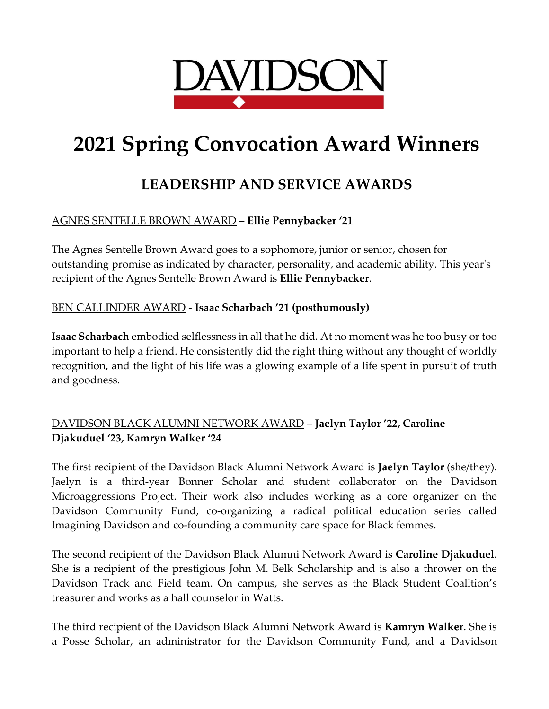

# **2021 Spring Convocation Award Winners**

# **LEADERSHIP AND SERVICE AWARDS**

## AGNES SENTELLE BROWN AWARD – **Ellie Pennybacker '21**

The Agnes Sentelle Brown Award goes to a sophomore, junior or senior, chosen for outstanding promise as indicated by character, personality, and academic ability. This year's recipient of the Agnes Sentelle Brown Award is **Ellie Pennybacker**.

#### BEN CALLINDER AWARD - **Isaac Scharbach '21 (posthumously)**

**Isaac Scharbach** embodied selflessness in all that he did. At no moment was he too busy or too important to help a friend. He consistently did the right thing without any thought of worldly recognition, and the light of his life was a glowing example of a life spent in pursuit of truth and goodness.

## DAVIDSON BLACK ALUMNI NETWORK AWARD – **Jaelyn Taylor '22, Caroline Djakuduel '23, Kamryn Walker '24**

The first recipient of the Davidson Black Alumni Network Award is **Jaelyn Taylor** (she/they). Jaelyn is a third-year Bonner Scholar and student collaborator on the Davidson Microaggressions Project. Their work also includes working as a core organizer on the Davidson Community Fund, co-organizing a radical political education series called Imagining Davidson and co-founding a community care space for Black femmes.

The second recipient of the Davidson Black Alumni Network Award is **Caroline Djakuduel**. She is a recipient of the prestigious John M. Belk Scholarship and is also a thrower on the Davidson Track and Field team. On campus, she serves as the Black Student Coalition's treasurer and works as a hall counselor in Watts.

The third recipient of the Davidson Black Alumni Network Award is **Kamryn Walker**. She is a Posse Scholar, an administrator for the Davidson Community Fund, and a Davidson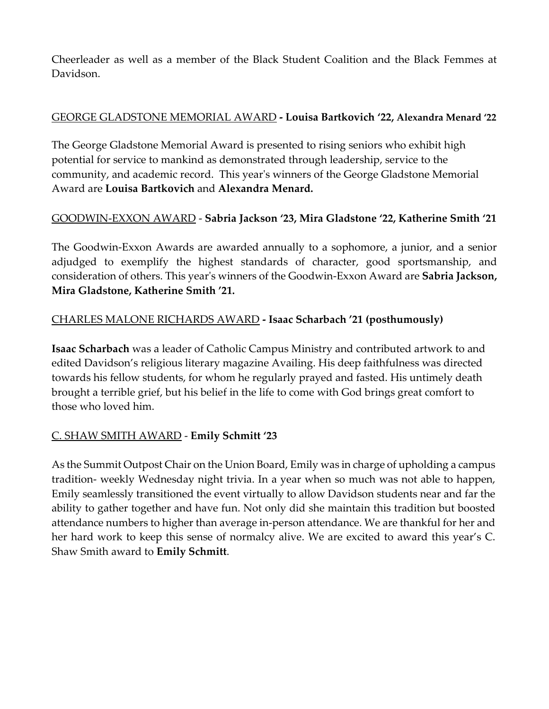Cheerleader as well as a member of the Black Student Coalition and the Black Femmes at Davidson.

#### GEORGE GLADSTONE MEMORIAL AWARD **- Louisa Bartkovich '22, Alexandra Menard '22**

The George Gladstone Memorial Award is presented to rising seniors who exhibit high potential for service to mankind as demonstrated through leadership, service to the community, and academic record. This year's winners of the George Gladstone Memorial Award are **Louisa Bartkovich** and **Alexandra Menard.**

### GOODWIN-EXXON AWARD - **Sabria Jackson '23, Mira Gladstone '22, Katherine Smith '21**

The Goodwin-Exxon Awards are awarded annually to a sophomore, a junior, and a senior adjudged to exemplify the highest standards of character, good sportsmanship, and consideration of others. This year's winners of the Goodwin-Exxon Award are **Sabria Jackson, Mira Gladstone, Katherine Smith '21.**

### CHARLES MALONE RICHARDS AWARD **- Isaac Scharbach '21 (posthumously)**

**Isaac Scharbach** was a leader of Catholic Campus Ministry and contributed artwork to and edited Davidson's religious literary magazine Availing. His deep faithfulness was directed towards his fellow students, for whom he regularly prayed and fasted. His untimely death brought a terrible grief, but his belief in the life to come with God brings great comfort to those who loved him.

### C. SHAW SMITH AWARD - **Emily Schmitt '23**

As the Summit Outpost Chair on the Union Board, Emily was in charge of upholding a campus tradition- weekly Wednesday night trivia. In a year when so much was not able to happen, Emily seamlessly transitioned the event virtually to allow Davidson students near and far the ability to gather together and have fun. Not only did she maintain this tradition but boosted attendance numbers to higher than average in-person attendance. We are thankful for her and her hard work to keep this sense of normalcy alive. We are excited to award this year's C. Shaw Smith award to **Emily Schmitt**.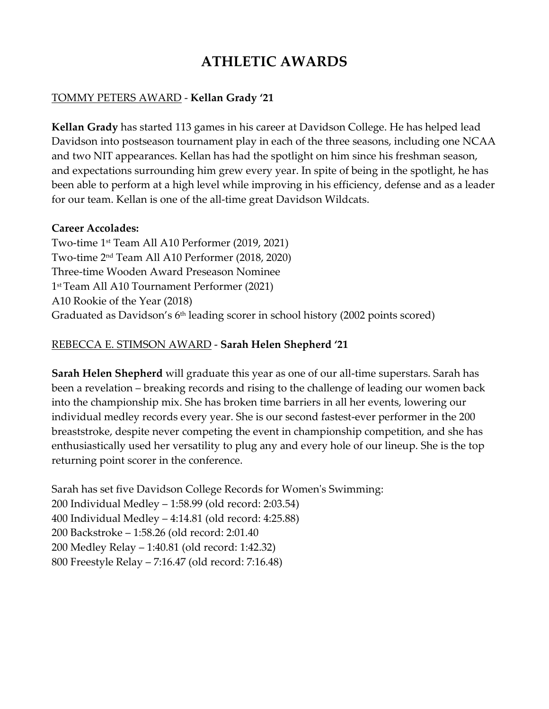# **ATHLETIC AWARDS**

#### TOMMY PETERS AWARD - **Kellan Grady '21**

**Kellan Grady** has started 113 games in his career at Davidson College. He has helped lead Davidson into postseason tournament play in each of the three seasons, including one NCAA and two NIT appearances. Kellan has had the spotlight on him since his freshman season, and expectations surrounding him grew every year. In spite of being in the spotlight, he has been able to perform at a high level while improving in his efficiency, defense and as a leader for our team. Kellan is one of the all-time great Davidson Wildcats.

#### **Career Accolades:**

Two-time 1st Team All A10 Performer (2019, 2021) Two-time 2nd Team All A10 Performer (2018, 2020) Three-time Wooden Award Preseason Nominee 1st Team All A10 Tournament Performer (2021) A10 Rookie of the Year (2018) Graduated as Davidson's  $6<sup>th</sup>$  leading scorer in school history (2002 points scored)

#### REBECCA E. STIMSON AWARD - **Sarah Helen Shepherd '21**

**Sarah Helen Shepherd** will graduate this year as one of our all-time superstars. Sarah has been a revelation – breaking records and rising to the challenge of leading our women back into the championship mix. She has broken time barriers in all her events, lowering our individual medley records every year. She is our second fastest-ever performer in the 200 breaststroke, despite never competing the event in championship competition, and she has enthusiastically used her versatility to plug any and every hole of our lineup. She is the top returning point scorer in the conference.

Sarah has set five Davidson College Records for Women's Swimming: 200 Individual Medley – 1:58.99 (old record: 2:03.54) 400 Individual Medley – 4:14.81 (old record: 4:25.88) 200 Backstroke – 1:58.26 (old record: 2:01.40 200 Medley Relay – 1:40.81 (old record: 1:42.32) 800 Freestyle Relay – 7:16.47 (old record: 7:16.48)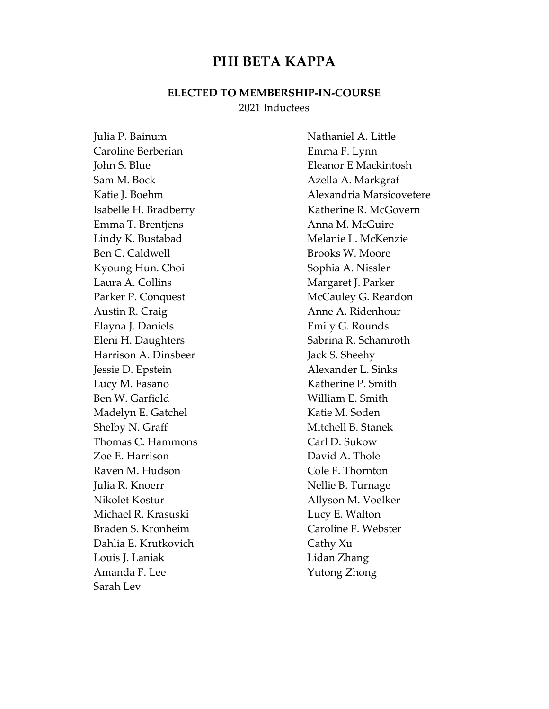## **PHI BETA KAPPA**

#### **ELECTED TO MEMBERSHIP-IN-COURSE** 2021 Inductees

Julia P. Bainum Nathaniel A. Little Caroline Berberian **Emma F. Lynn** John S. Blue Eleanor E Mackintosh Sam M. Bock Azella A. Markgraf Emma T. Brentjens **Anna M. McGuire** Lindy K. Bustabad Melanie L. McKenzie Ben C. Caldwell Brooks W. Moore Kyoung Hun. Choi Sophia A. Nissler Laura A. Collins **Margaret J. Parker** Parker P. Conquest McCauley G. Reardon Austin R. Craig **Austin R. Craig** Anne A. Ridenhour Elayna J. Daniels **Emily G. Rounds** Eleni H. Daughters Sabrina R. Schamroth Harrison A. Dinsbeer Jack S. Sheehy Jessie D. Epstein Alexander L. Sinks Lucy M. Fasano Katherine P. Smith Ben W. Garfield William E. Smith Madelyn E. Gatchel Katie M. Soden Shelby N. Graff Mitchell B. Stanek Thomas C. Hammons Carl D. Sukow Zoe E. Harrison David A. Thole Raven M. Hudson Cole F. Thornton Julia R. Knoerr Nellie B. Turnage Nikolet Kostur Allyson M. Voelker Michael R. Krasuski **Lucy E. Walton** Braden S. Kronheim Caroline F. Webster Dahlia E. Krutkovich Cathy Xu Louis J. Laniak Lidan Zhang Amanda F. Lee Yutong Zhong Sarah Lev

Katie J. Boehm **Alexandria Marsicovetere** Isabelle H. Bradberry Katherine R. McGovern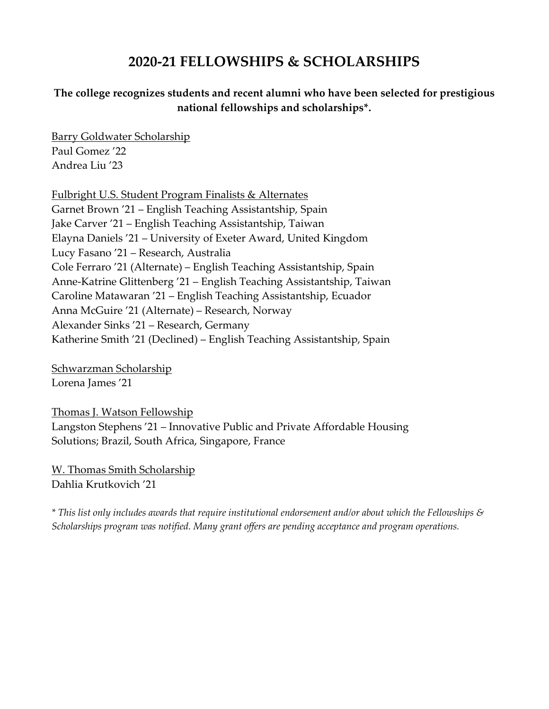# **2020-21 FELLOWSHIPS & SCHOLARSHIPS**

#### **The college recognizes students and recent alumni who have been selected for prestigious national fellowships and scholarships\*.**

Barry Goldwater Scholarship Paul Gomez '22 Andrea Liu '23

Fulbright U.S. Student Program Finalists & Alternates Garnet Brown '21 – English Teaching Assistantship, Spain Jake Carver '21 – English Teaching Assistantship, Taiwan Elayna Daniels '21 – University of Exeter Award, United Kingdom Lucy Fasano '21 – Research, Australia Cole Ferraro '21 (Alternate) – English Teaching Assistantship, Spain Anne-Katrine Glittenberg '21 – English Teaching Assistantship, Taiwan Caroline Matawaran '21 – English Teaching Assistantship, Ecuador Anna McGuire '21 (Alternate) – Research, Norway Alexander Sinks '21 – Research, Germany Katherine Smith '21 (Declined) – English Teaching Assistantship, Spain

Schwarzman Scholarship Lorena James '21

Thomas J. Watson Fellowship Langston Stephens '21 – Innovative Public and Private Affordable Housing Solutions; Brazil, South Africa, Singapore, France

W. Thomas Smith Scholarship Dahlia Krutkovich '21

*\* This list only includes awards that require institutional endorsement and/or about which the Fellowships & Scholarships program was notified. Many grant offers are pending acceptance and program operations.*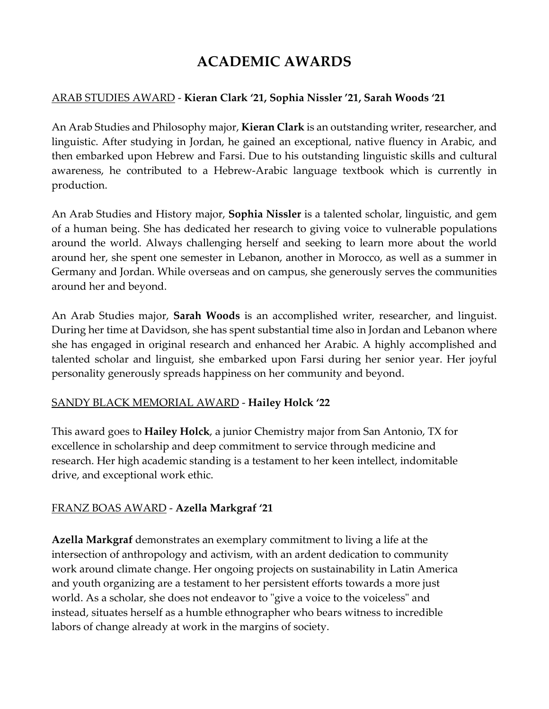# **ACADEMIC AWARDS**

#### ARAB STUDIES AWARD - **Kieran Clark '21, Sophia Nissler '21, Sarah Woods '21**

An Arab Studies and Philosophy major, **Kieran Clark** is an outstanding writer, researcher, and linguistic. After studying in Jordan, he gained an exceptional, native fluency in Arabic, and then embarked upon Hebrew and Farsi. Due to his outstanding linguistic skills and cultural awareness, he contributed to a Hebrew-Arabic language textbook which is currently in production.

An Arab Studies and History major, **Sophia Nissler** is a talented scholar, linguistic, and gem of a human being. She has dedicated her research to giving voice to vulnerable populations around the world. Always challenging herself and seeking to learn more about the world around her, she spent one semester in Lebanon, another in Morocco, as well as a summer in Germany and Jordan. While overseas and on campus, she generously serves the communities around her and beyond.

An Arab Studies major, **Sarah Woods** is an accomplished writer, researcher, and linguist. During her time at Davidson, she has spent substantial time also in Jordan and Lebanon where she has engaged in original research and enhanced her Arabic. A highly accomplished and talented scholar and linguist, she embarked upon Farsi during her senior year. Her joyful personality generously spreads happiness on her community and beyond.

#### SANDY BLACK MEMORIAL AWARD - **Hailey Holck '22**

This award goes to **Hailey Holck**, a junior Chemistry major from San Antonio, TX for excellence in scholarship and deep commitment to service through medicine and research. Her high academic standing is a testament to her keen intellect, indomitable drive, and exceptional work ethic.

### FRANZ BOAS AWARD - **Azella Markgraf '21**

**Azella Markgraf** demonstrates an exemplary commitment to living a life at the intersection of anthropology and activism, with an ardent dedication to community work around climate change. Her ongoing projects on sustainability in Latin America and youth organizing are a testament to her persistent efforts towards a more just world. As a scholar, she does not endeavor to "give a voice to the voiceless" and instead, situates herself as a humble ethnographer who bears witness to incredible labors of change already at work in the margins of society.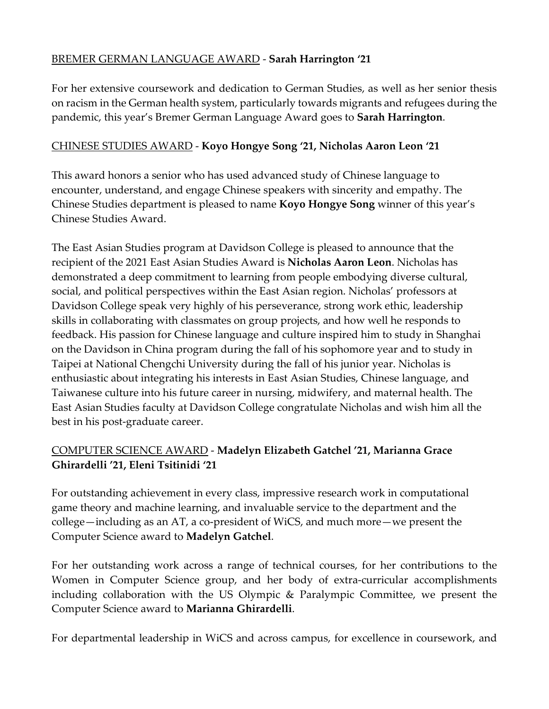#### BREMER GERMAN LANGUAGE AWARD - **Sarah Harrington '21**

For her extensive coursework and dedication to German Studies, as well as her senior thesis on racism in the German health system, particularly towards migrants and refugees during the pandemic, this year's Bremer German Language Award goes to **Sarah Harrington**.

#### CHINESE STUDIES AWARD - **Koyo Hongye Song '21, Nicholas Aaron Leon '21**

This award honors a senior who has used advanced study of Chinese language to encounter, understand, and engage Chinese speakers with sincerity and empathy. The Chinese Studies department is pleased to name **Koyo Hongye Song** winner of this year's Chinese Studies Award.

The East Asian Studies program at Davidson College is pleased to announce that the recipient of the 2021 East Asian Studies Award is **Nicholas Aaron Leon**. Nicholas has demonstrated a deep commitment to learning from people embodying diverse cultural, social, and political perspectives within the East Asian region. Nicholas' professors at Davidson College speak very highly of his perseverance, strong work ethic, leadership skills in collaborating with classmates on group projects, and how well he responds to feedback. His passion for Chinese language and culture inspired him to study in Shanghai on the Davidson in China program during the fall of his sophomore year and to study in Taipei at National Chengchi University during the fall of his junior year. Nicholas is enthusiastic about integrating his interests in East Asian Studies, Chinese language, and Taiwanese culture into his future career in nursing, midwifery, and maternal health. The East Asian Studies faculty at Davidson College congratulate Nicholas and wish him all the best in his post-graduate career.

## COMPUTER SCIENCE AWARD - **Madelyn Elizabeth Gatchel '21, Marianna Grace Ghirardelli '21, Eleni Tsitinidi '21**

For outstanding achievement in every class, impressive research work in computational game theory and machine learning, and invaluable service to the department and the college—including as an AT, a co-president of WiCS, and much more—we present the Computer Science award to **Madelyn Gatchel**.

For her outstanding work across a range of technical courses, for her contributions to the Women in Computer Science group, and her body of extra-curricular accomplishments including collaboration with the US Olympic & Paralympic Committee, we present the Computer Science award to **Marianna Ghirardelli**.

For departmental leadership in WiCS and across campus, for excellence in coursework, and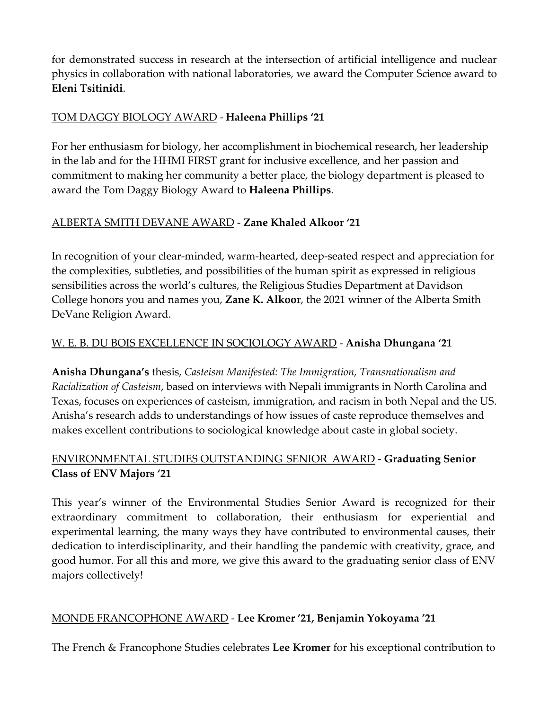for demonstrated success in research at the intersection of artificial intelligence and nuclear physics in collaboration with national laboratories, we award the Computer Science award to **Eleni Tsitinidi**.

### TOM DAGGY BIOLOGY AWARD - **Haleena Phillips '21**

For her enthusiasm for biology, her accomplishment in biochemical research, her leadership in the lab and for the HHMI FIRST grant for inclusive excellence, and her passion and commitment to making her community a better place, the biology department is pleased to award the Tom Daggy Biology Award to **Haleena Phillips**.

#### ALBERTA SMITH DEVANE AWARD - **Zane Khaled Alkoor '21**

In recognition of your clear-minded, warm-hearted, deep-seated respect and appreciation for the complexities, subtleties, and possibilities of the human spirit as expressed in religious sensibilities across the world's cultures, the Religious Studies Department at Davidson College honors you and names you, **Zane K. Alkoor**, the 2021 winner of the Alberta Smith DeVane Religion Award.

### W. E. B. DU BOIS EXCELLENCE IN SOCIOLOGY AWARD - **Anisha Dhungana '21**

**Anisha Dhungana's** thesis, *Casteism Manifested: The Immigration, Transnationalism and Racialization of Casteism*, based on interviews with Nepali immigrants in North Carolina and Texas, focuses on experiences of casteism, immigration, and racism in both Nepal and the US. Anisha's research adds to understandings of how issues of caste reproduce themselves and makes excellent contributions to sociological knowledge about caste in global society.

### ENVIRONMENTAL STUDIES OUTSTANDING SENIOR AWARD - **Graduating Senior Class of ENV Majors '21**

This year's winner of the Environmental Studies Senior Award is recognized for their extraordinary commitment to collaboration, their enthusiasm for experiential and experimental learning, the many ways they have contributed to environmental causes, their dedication to interdisciplinarity, and their handling the pandemic with creativity, grace, and good humor. For all this and more, we give this award to the graduating senior class of ENV majors collectively!

### MONDE FRANCOPHONE AWARD - **Lee Kromer '21, Benjamin Yokoyama '21**

The French & Francophone Studies celebrates **Lee Kromer** for his exceptional contribution to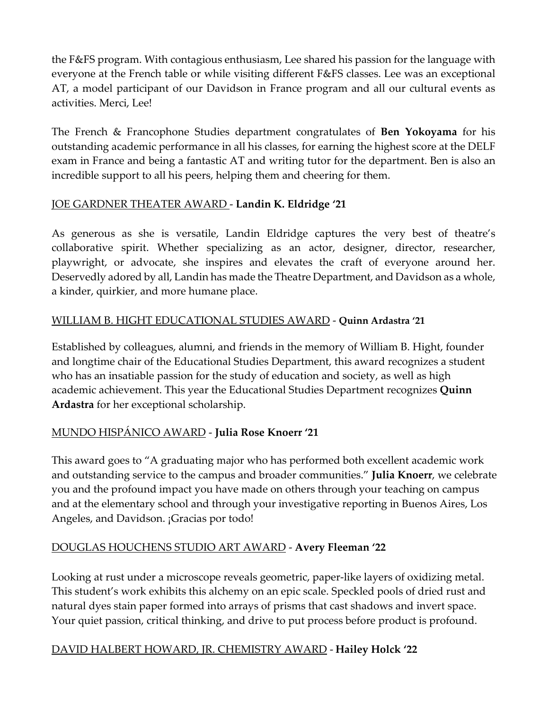the F&FS program. With contagious enthusiasm, Lee shared his passion for the language with everyone at the French table or while visiting different F&FS classes. Lee was an exceptional AT, a model participant of our Davidson in France program and all our cultural events as activities. Merci, Lee!

The French & Francophone Studies department congratulates of **Ben Yokoyama** for his outstanding academic performance in all his classes, for earning the highest score at the DELF exam in France and being a fantastic AT and writing tutor for the department. Ben is also an incredible support to all his peers, helping them and cheering for them.

## JOE GARDNER THEATER AWARD - **Landin K. Eldridge '21**

As generous as she is versatile, Landin Eldridge captures the very best of theatre's collaborative spirit. Whether specializing as an actor, designer, director, researcher, playwright, or advocate, she inspires and elevates the craft of everyone around her. Deservedly adored by all, Landin has made the Theatre Department, and Davidson as a whole, a kinder, quirkier, and more humane place.

## WILLIAM B. HIGHT EDUCATIONAL STUDIES AWARD - **Quinn Ardastra '21**

Established by colleagues, alumni, and friends in the memory of William B. Hight, founder and longtime chair of the Educational Studies Department, this award recognizes a student who has an insatiable passion for the study of education and society, as well as high academic achievement. This year the Educational Studies Department recognizes **Quinn Ardastra** for her exceptional scholarship.

### MUNDO HISPÁNICO AWARD - **Julia Rose Knoerr '21**

This award goes to "A graduating major who has performed both excellent academic work and outstanding service to the campus and broader communities." **Julia Knoerr**, we celebrate you and the profound impact you have made on others through your teaching on campus and at the elementary school and through your investigative reporting in Buenos Aires, Los Angeles, and Davidson. ¡Gracias por todo!

### DOUGLAS HOUCHENS STUDIO ART AWARD - **Avery Fleeman '22**

Looking at rust under a microscope reveals geometric, paper-like layers of oxidizing metal. This student's work exhibits this alchemy on an epic scale. Speckled pools of dried rust and natural dyes stain paper formed into arrays of prisms that cast shadows and invert space. Your quiet passion, critical thinking, and drive to put process before product is profound.

### DAVID HALBERT HOWARD, JR. CHEMISTRY AWARD - **Hailey Holck '22**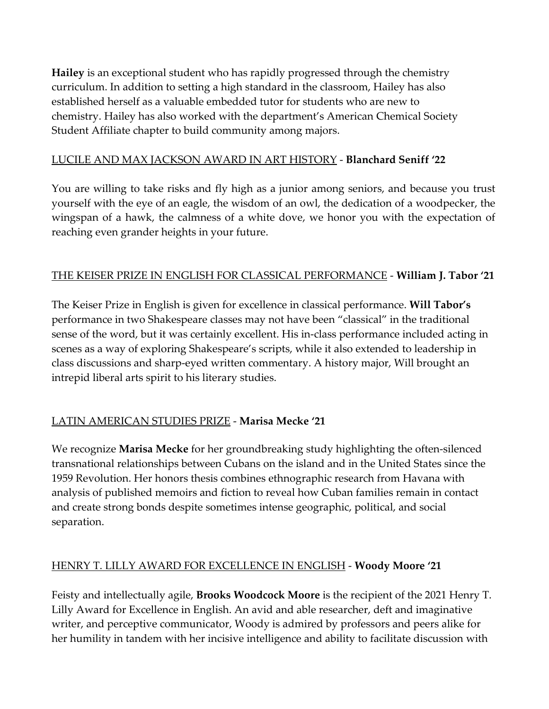**Hailey** is an exceptional student who has rapidly progressed through the chemistry curriculum. In addition to setting a high standard in the classroom, Hailey has also established herself as a valuable embedded tutor for students who are new to chemistry. Hailey has also worked with the department's American Chemical Society Student Affiliate chapter to build community among majors.

#### LUCILE AND MAX JACKSON AWARD IN ART HISTORY - **Blanchard Seniff '22**

You are willing to take risks and fly high as a junior among seniors, and because you trust yourself with the eye of an eagle, the wisdom of an owl, the dedication of a woodpecker, the wingspan of a hawk, the calmness of a white dove, we honor you with the expectation of reaching even grander heights in your future.

### THE KEISER PRIZE IN ENGLISH FOR CLASSICAL PERFORMANCE - **William J. Tabor '21**

The Keiser Prize in English is given for excellence in classical performance. **Will Tabor's** performance in two Shakespeare classes may not have been "classical" in the traditional sense of the word, but it was certainly excellent. His in-class performance included acting in scenes as a way of exploring Shakespeare's scripts, while it also extended to leadership in class discussions and sharp-eyed written commentary. A history major, Will brought an intrepid liberal arts spirit to his literary studies.

## LATIN AMERICAN STUDIES PRIZE - **Marisa Mecke '21**

We recognize **Marisa Mecke** for her groundbreaking study highlighting the often-silenced transnational relationships between Cubans on the island and in the United States since the 1959 Revolution. Her honors thesis combines ethnographic research from Havana with analysis of published memoirs and fiction to reveal how Cuban families remain in contact and create strong bonds despite sometimes intense geographic, political, and social separation.

### HENRY T. LILLY AWARD FOR EXCELLENCE IN ENGLISH - **Woody Moore '21**

Feisty and intellectually agile, **Brooks Woodcock Moore** is the recipient of the 2021 Henry T. Lilly Award for Excellence in English. An avid and able researcher, deft and imaginative writer, and perceptive communicator, Woody is admired by professors and peers alike for her humility in tandem with her incisive intelligence and ability to facilitate discussion with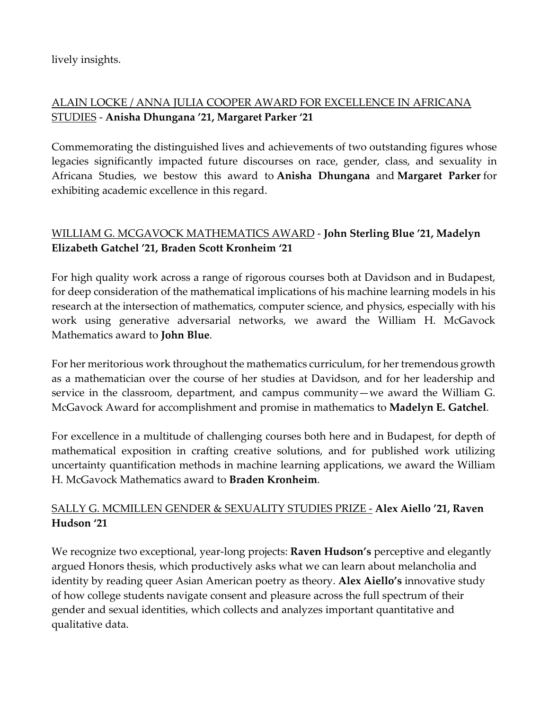lively insights.

## ALAIN LOCKE / ANNA JULIA COOPER AWARD FOR EXCELLENCE IN AFRICANA STUDIES - **Anisha Dhungana '21, Margaret Parker '21**

Commemorating the distinguished lives and achievements of two outstanding figures whose legacies significantly impacted future discourses on race, gender, class, and sexuality in Africana Studies, we bestow this award to **Anisha Dhungana** and **Margaret Parker** for exhibiting academic excellence in this regard.

## WILLIAM G. MCGAVOCK MATHEMATICS AWARD - **John Sterling Blue '21, Madelyn Elizabeth Gatchel '21, Braden Scott Kronheim '21**

For high quality work across a range of rigorous courses both at Davidson and in Budapest, for deep consideration of the mathematical implications of his machine learning models in his research at the intersection of mathematics, computer science, and physics, especially with his work using generative adversarial networks, we award the William H. McGavock Mathematics award to **John Blue**.

For her meritorious work throughout the mathematics curriculum, for her tremendous growth as a mathematician over the course of her studies at Davidson, and for her leadership and service in the classroom, department, and campus community—we award the William G. McGavock Award for accomplishment and promise in mathematics to **Madelyn E. Gatchel**.

For excellence in a multitude of challenging courses both here and in Budapest, for depth of mathematical exposition in crafting creative solutions, and for published work utilizing uncertainty quantification methods in machine learning applications, we award the William H. McGavock Mathematics award to **Braden Kronheim**.

#### SALLY G. MCMILLEN GENDER & SEXUALITY STUDIES PRIZE - **Alex Aiello '21, Raven Hudson '21**

We recognize two exceptional, year-long projects: **Raven Hudson's** perceptive and elegantly argued Honors thesis, which productively asks what we can learn about melancholia and identity by reading queer Asian American poetry as theory. **Alex Aiello's** innovative study of how college students navigate consent and pleasure across the full spectrum of their gender and sexual identities, which collects and analyzes important quantitative and qualitative data.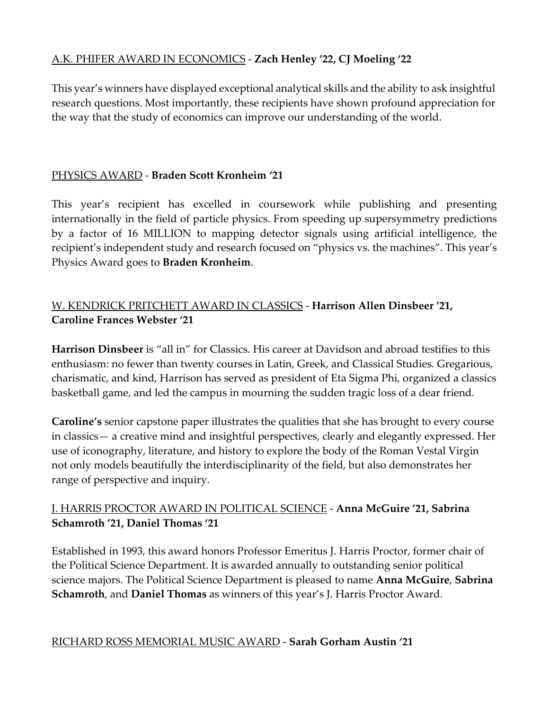### A.K. PHIFER AWARD IN ECONOMICS - **Zach Henley '22, CJ Moeling '22**

This year's winners have displayed exceptional analytical skills and the ability to ask insightful research questions. Most importantly, these recipients have shown profound appreciation for the way that the study of economics can improve our understanding of the world.

### PHYSICS AWARD - **Braden Scott Kronheim '21**

This year's recipient has excelled in coursework while publishing and presenting internationally in the field of particle physics. From speeding up supersymmetry predictions by a factor of 16 MILLION to mapping detector signals using artificial intelligence, the recipient's independent study and research focused on "physics vs. the machines". This year's Physics Award goes to **Braden Kronheim**.

## W. KENDRICK PRITCHETT AWARD IN CLASSICS - **Harrison Allen Dinsbeer '21, Caroline Frances Webster '21**

**Harrison Dinsbeer** is "all in" for Classics. His career at Davidson and abroad testifies to this enthusiasm: no fewer than twenty courses in Latin, Greek, and Classical Studies. Gregarious, charismatic, and kind, Harrison has served as president of Eta Sigma Phi, organized a classics basketball game, and led the campus in mourning the sudden tragic loss of a dear friend.

**Caroline's** senior capstone paper illustrates the qualities that she has brought to every course in classics— a creative mind and insightful perspectives, clearly and elegantly expressed. Her use of iconography, literature, and history to explore the body of the Roman Vestal Virgin not only models beautifully the interdisciplinarity of the field, but also demonstrates her range of perspective and inquiry.

### J. HARRIS PROCTOR AWARD IN POLITICAL SCIENCE - **Anna McGuire '21, Sabrina Schamroth '21, Daniel Thomas '21**

Established in 1993, this award honors Professor Emeritus J. Harris Proctor, former chair of the Political Science Department. It is awarded annually to outstanding senior political science majors. The Political Science Department is pleased to name **Anna McGuire**, **Sabrina Schamroth**, and **Daniel Thomas** as winners of this year's J. Harris Proctor Award.

### RICHARD ROSS MEMORIAL MUSIC AWARD - **Sarah Gorham Austin '21**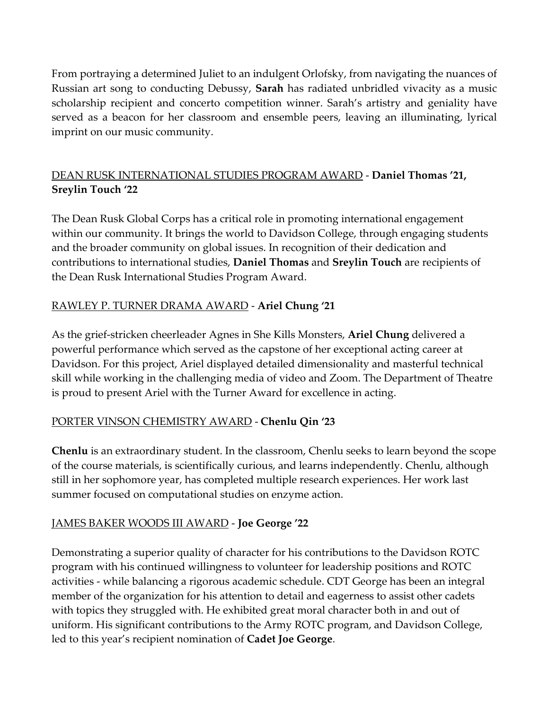From portraying a determined Juliet to an indulgent Orlofsky, from navigating the nuances of Russian art song to conducting Debussy, **Sarah** has radiated unbridled vivacity as a music scholarship recipient and concerto competition winner. Sarah's artistry and geniality have served as a beacon for her classroom and ensemble peers, leaving an illuminating, lyrical imprint on our music community.

## DEAN RUSK INTERNATIONAL STUDIES PROGRAM AWARD - **Daniel Thomas '21, Sreylin Touch '22**

The Dean Rusk Global Corps has a critical role in promoting international engagement within our community. It brings the world to Davidson College, through engaging students and the broader community on global issues. In recognition of their dedication and contributions to international studies, **Daniel Thomas** and **Sreylin Touch** are recipients of the Dean Rusk International Studies Program Award.

## RAWLEY P. TURNER DRAMA AWARD - **Ariel Chung '21**

As the grief-stricken cheerleader Agnes in She Kills Monsters, **Ariel Chung** delivered a powerful performance which served as the capstone of her exceptional acting career at Davidson. For this project, Ariel displayed detailed dimensionality and masterful technical skill while working in the challenging media of video and Zoom. The Department of Theatre is proud to present Ariel with the Turner Award for excellence in acting.

### PORTER VINSON CHEMISTRY AWARD - **Chenlu Qin '23**

**Chenlu** is an extraordinary student. In the classroom, Chenlu seeks to learn beyond the scope of the course materials, is scientifically curious, and learns independently. Chenlu, although still in her sophomore year, has completed multiple research experiences. Her work last summer focused on computational studies on enzyme action.

### JAMES BAKER WOODS III AWARD - **Joe George '22**

Demonstrating a superior quality of character for his contributions to the Davidson ROTC program with his continued willingness to volunteer for leadership positions and ROTC activities - while balancing a rigorous academic schedule. CDT George has been an integral member of the organization for his attention to detail and eagerness to assist other cadets with topics they struggled with. He exhibited great moral character both in and out of uniform. His significant contributions to the Army ROTC program, and Davidson College, led to this year's recipient nomination of **Cadet Joe George**.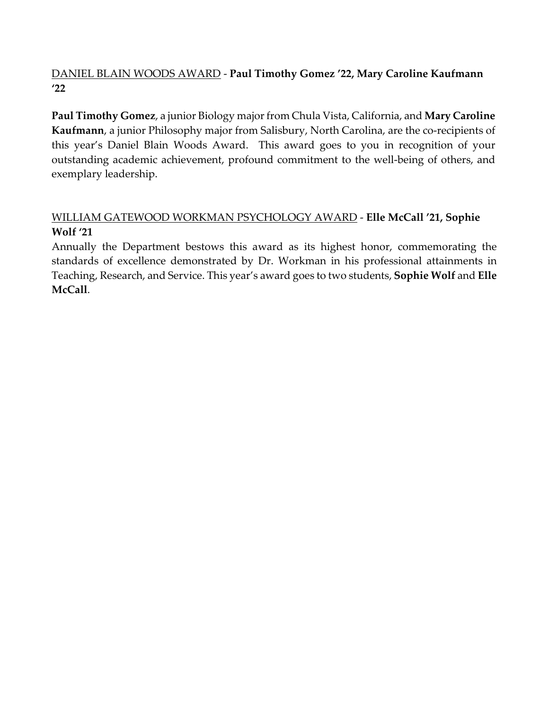## DANIEL BLAIN WOODS AWARD - **Paul Timothy Gomez '22, Mary Caroline Kaufmann '22**

**Paul Timothy Gomez**, a junior Biology major from Chula Vista, California, and **Mary Caroline Kaufmann**, a junior Philosophy major from Salisbury, North Carolina, are the co-recipients of this year's Daniel Blain Woods Award. This award goes to you in recognition of your outstanding academic achievement, profound commitment to the well-being of others, and exemplary leadership.

### WILLIAM GATEWOOD WORKMAN PSYCHOLOGY AWARD - **Elle McCall '21, Sophie Wolf '21**

Annually the Department bestows this award as its highest honor, commemorating the standards of excellence demonstrated by Dr. Workman in his professional attainments in Teaching, Research, and Service. This year's award goes to two students, **Sophie Wolf** and **Elle McCall**.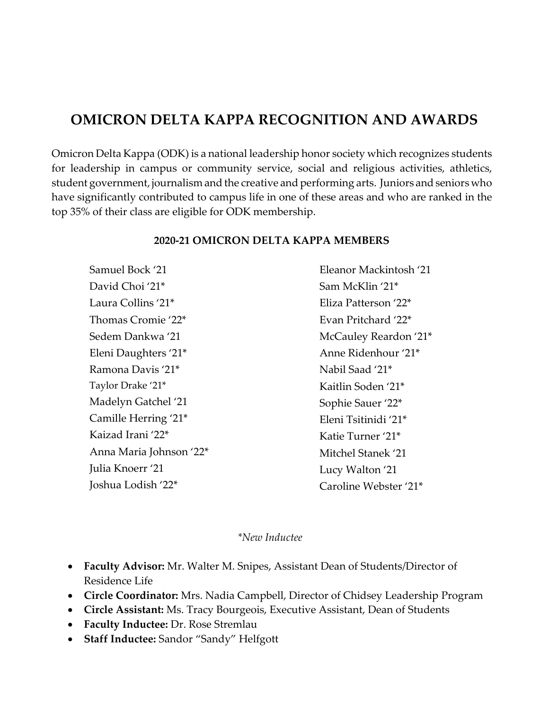## **OMICRON DELTA KAPPA RECOGNITION AND AWARDS**

Omicron Delta Kappa (ODK) is a national leadership honor society which recognizes students for leadership in campus or community service, social and religious activities, athletics, student government, journalismand the creative and performing arts. Juniors and seniors who have significantly contributed to campus life in one of these areas and who are ranked in the top 35% of their class are eligible for ODK membership.

| Samuel Bock '21         | Eleanor Mackintosh '21 |
|-------------------------|------------------------|
| David Choi '21*         | Sam McKlin '21*        |
| Laura Collins '21*      | Eliza Patterson '22*   |
| Thomas Cromie '22*      | Evan Pritchard '22*    |
| Sedem Dankwa '21        | McCauley Reardon '21*  |
| Eleni Daughters '21*    | Anne Ridenhour '21*    |
| Ramona Davis '21*       | Nabil Saad '21*        |
| Taylor Drake '21*       | Kaitlin Soden '21*     |
| Madelyn Gatchel '21     | Sophie Sauer '22*      |
| Camille Herring '21*    | Eleni Tsitinidi '21*   |
| Kaizad Irani '22*       | Katie Turner '21*      |
| Anna Maria Johnson '22* | Mitchel Stanek '21     |
| Julia Knoerr '21        | Lucy Walton '21        |
| Joshua Lodish '22*      | Caroline Webster '21*  |
|                         |                        |

#### **2020-21 OMICRON DELTA KAPPA MEMBERS**

#### *\*New Inductee*

- **Faculty Advisor:** Mr. Walter M. Snipes, Assistant Dean of Students/Director of Residence Life
- **Circle Coordinator:** Mrs. Nadia Campbell, Director of Chidsey Leadership Program
- **Circle Assistant:** Ms. Tracy Bourgeois, Executive Assistant, Dean of Students
- **Faculty Inductee:** Dr. Rose Stremlau
- **Staff Inductee:** Sandor "Sandy" Helfgott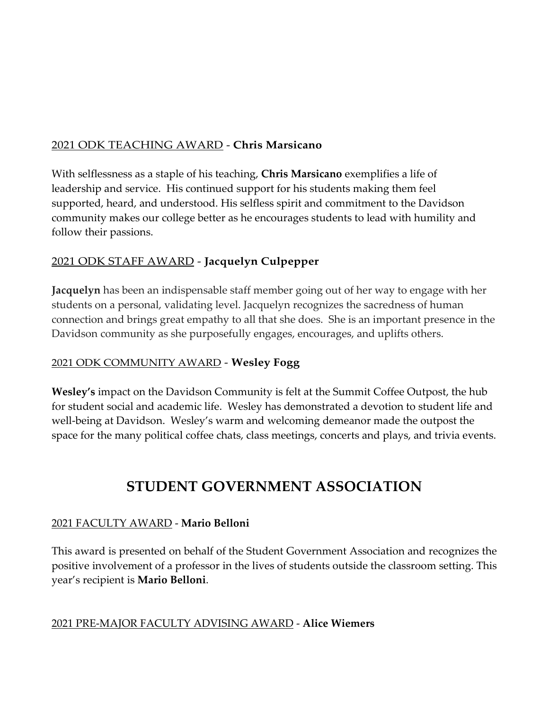## 2021 ODK TEACHING AWARD - **Chris Marsicano**

With selflessness as a staple of his teaching, **Chris Marsicano** exemplifies a life of leadership and service. His continued support for his students making them feel supported, heard, and understood. His selfless spirit and commitment to the Davidson community makes our college better as he encourages students to lead with humility and follow their passions.

## 2021 ODK STAFF AWARD - **Jacquelyn Culpepper**

**Jacquelyn** has been an indispensable staff member going out of her way to engage with her students on a personal, validating level. Jacquelyn recognizes the sacredness of human connection and brings great empathy to all that she does. She is an important presence in the Davidson community as she purposefully engages, encourages, and uplifts others.

#### 2021 ODK COMMUNITY AWARD - **Wesley Fogg**

**Wesley's** impact on the Davidson Community is felt at the Summit Coffee Outpost, the hub for student social and academic life. Wesley has demonstrated a devotion to student life and well-being at Davidson. Wesley's warm and welcoming demeanor made the outpost the space for the many political coffee chats, class meetings, concerts and plays, and trivia events.

# **STUDENT GOVERNMENT ASSOCIATION**

### 2021 FACULTY AWARD - **Mario Belloni**

This award is presented on behalf of the Student Government Association and recognizes the positive involvement of a professor in the lives of students outside the classroom setting. This year's recipient is **Mario Belloni**.

#### 2021 PRE-MAJOR FACULTY ADVISING AWARD - **Alice Wiemers**